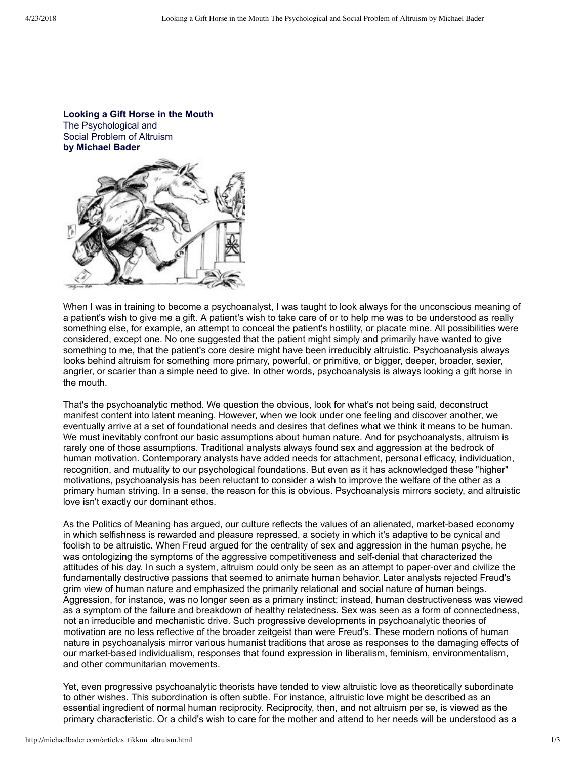

When I was in training to become a psychoanalyst, I was taught to look always for the unconscious meaning of a patient's wish to give me a gift. A patient's wish to take care of or to help me was to be understood as really something else, for example, an attempt to conceal the patient's hostility, or placate mine. All possibilities were considered, except one. No one suggested that the patient might simply and primarily have wanted to give something to me, that the patient's core desire might have been irreducibly altruistic. Psychoanalysis always looks behind altruism for something more primary, powerful, or primitive, or bigger, deeper, broader, sexier, angrier, or scarier than a simple need to give. In other words, psychoanalysis is always looking a gift horse in the mouth.

That's the psychoanalytic method. We question the obvious, look for what's not being said, deconstruct manifest content into latent meaning. However, when we look under one feeling and discover another, we eventually arrive at a set of foundational needs and desires that defines what we think it means to be human. We must inevitably confront our basic assumptions about human nature. And for psychoanalysts, altruism is rarely one of those assumptions. Traditional analysts always found sex and aggression at the bedrock of human motivation. Contemporary analysts have added needs for attachment, personal efficacy, individuation, recognition, and mutuality to our psychological foundations. But even as it has acknowledged these "higher" motivations, psychoanalysis has been reluctant to consider a wish to improve the welfare of the other as a primary human striving. In a sense, the reason for this is obvious. Psychoanalysis mirrors society, and altruistic love isn't exactly our dominant ethos.

As the Politics of Meaning has argued, our culture reflects the values of an alienated, market-based economy in which selfishness is rewarded and pleasure repressed, a society in which it's adaptive to be cynical and foolish to be altruistic. When Freud argued for the centrality of sex and aggression in the human psyche, he was ontologizing the symptoms of the aggressive competitiveness and self-denial that characterized the attitudes of his day. In such a system, altruism could only be seen as an attempt to paper-over and civilize the fundamentally destructive passions that seemed to animate human behavior. Later analysts rejected Freud's grim view of human nature and emphasized the primarily relational and social nature of human beings. Aggression, for instance, was no longer seen as a primary instinct; instead, human destructiveness was viewed as a symptom of the failure and breakdown of healthy relatedness. Sex was seen as a form of connectedness, not an irreducible and mechanistic drive. Such progressive developments in psychoanalytic theories of motivation are no less reflective of the broader zeitgeist than were Freud's. These modern notions of human nature in psychoanalysis mirror various humanist traditions that arose as responses to the damaging effects of our market-based individualism, responses that found expression in liberalism, feminism, environmentalism, and other communitarian movements.

Yet, even progressive psychoanalytic theorists have tended to view altruistic love as theoretically subordinate to other wishes. This subordination is often subtle. For instance, altruistic love might be described as an essential ingredient of normal human reciprocity. Reciprocity, then, and not altruism per se, is viewed as the primary characteristic. Or a child's wish to care for the mother and attend to her needs will be understood as a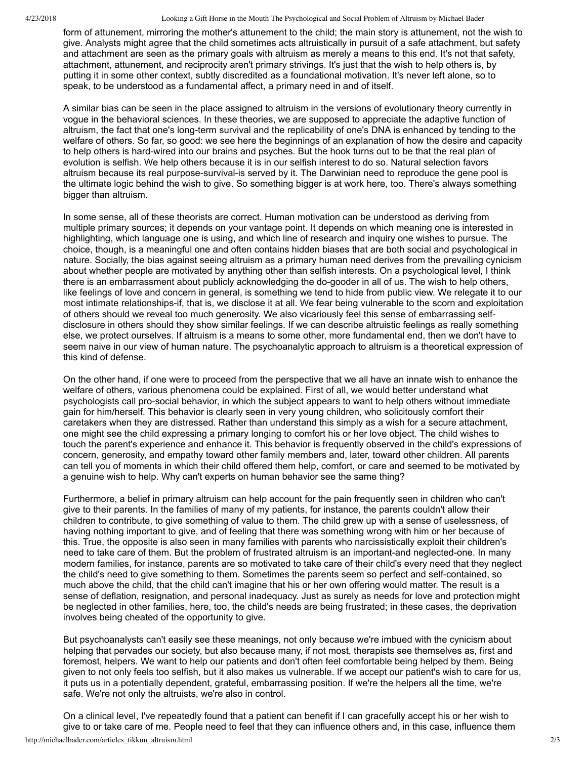4/23/2018 Looking a Gift Horse in the Mouth The Psychological and Social Problem of Altruism by Michael Bader

form of attunement, mirroring the mother's attunement to the child; the main story is attunement, not the wish to give. Analysts might agree that the child sometimes acts altruistically in pursuit of a safe attachment, but safety and attachment are seen as the primary goals with altruism as merely a means to this end. It's not that safety, attachment, attunement, and reciprocity aren't primary strivings. It's just that the wish to help others is, by putting it in some other context, subtly discredited as a foundational motivation. It's never left alone, so to speak, to be understood as a fundamental affect, a primary need in and of itself.

A similar bias can be seen in the place assigned to altruism in the versions of evolutionary theory currently in vogue in the behavioral sciences. In these theories, we are supposed to appreciate the adaptive function of altruism, the fact that one's long-term survival and the replicability of one's DNA is enhanced by tending to the welfare of others. So far, so good: we see here the beginnings of an explanation of how the desire and capacity to help others is hard-wired into our brains and psyches. But the hook turns out to be that the real plan of evolution is selfish. We help others because it is in our selfish interest to do so. Natural selection favors altruism because its real purpose-survival-is served by it. The Darwinian need to reproduce the gene pool is the ultimate logic behind the wish to give. So something bigger is at work here, too. There's always something bigger than altruism.

In some sense, all of these theorists are correct. Human motivation can be understood as deriving from multiple primary sources; it depends on your vantage point. It depends on which meaning one is interested in highlighting, which language one is using, and which line of research and inquiry one wishes to pursue. The choice, though, is a meaningful one and often contains hidden biases that are both social and psychological in nature. Socially, the bias against seeing altruism as a primary human need derives from the prevailing cynicism about whether people are motivated by anything other than selfish interests. On a psychological level, I think there is an embarrassment about publicly acknowledging the do-gooder in all of us. The wish to help others, like feelings of love and concern in general, is something we tend to hide from public view. We relegate it to our most intimate relationships-if, that is, we disclose it at all. We fear being vulnerable to the scorn and exploitation of others should we reveal too much generosity. We also vicariously feel this sense of embarrassing selfdisclosure in others should they show similar feelings. If we can describe altruistic feelings as really something else, we protect ourselves. If altruism is a means to some other, more fundamental end, then we don't have to seem naive in our view of human nature. The psychoanalytic approach to altruism is a theoretical expression of this kind of defense.

On the other hand, if one were to proceed from the perspective that we all have an innate wish to enhance the welfare of others, various phenomena could be explained. First of all, we would better understand what psychologists call prosocial behavior, in which the subject appears to want to help others without immediate gain for him/herself. This behavior is clearly seen in very young children, who solicitously comfort their caretakers when they are distressed. Rather than understand this simply as a wish for a secure attachment, one might see the child expressing a primary longing to comfort his or her love object. The child wishes to touch the parent's experience and enhance it. This behavior is frequently observed in the child's expressions of concern, generosity, and empathy toward other family members and, later, toward other children. All parents can tell you of moments in which their child offered them help, comfort, or care and seemed to be motivated by a genuine wish to help. Why can't experts on human behavior see the same thing?

Furthermore, a belief in primary altruism can help account for the pain frequently seen in children who can't give to their parents. In the families of many of my patients, for instance, the parents couldn't allow their children to contribute, to give something of value to them. The child grew up with a sense of uselessness, of having nothing important to give, and of feeling that there was something wrong with him or her because of this. True, the opposite is also seen in many families with parents who narcissistically exploit their children's need to take care of them. But the problem of frustrated altruism is an important-and neglected-one. In many modern families, for instance, parents are so motivated to take care of their child's every need that they neglect the child's need to give something to them. Sometimes the parents seem so perfect and self-contained, so much above the child, that the child can't imagine that his or her own offering would matter. The result is a sense of deflation, resignation, and personal inadequacy. Just as surely as needs for love and protection might be neglected in other families, here, too, the child's needs are being frustrated; in these cases, the deprivation involves being cheated of the opportunity to give.

But psychoanalysts can't easily see these meanings, not only because we're imbued with the cynicism about helping that pervades our society, but also because many, if not most, therapists see themselves as, first and foremost, helpers. We want to help our patients and don't often feel comfortable being helped by them. Being given to not only feels too selfish, but it also makes us vulnerable. If we accept our patient's wish to care for us, it puts us in a potentially dependent, grateful, embarrassing position. If we're the helpers all the time, we're safe. We're not only the altruists, we're also in control.

On a clinical level, I've repeatedly found that a patient can benefit if I can gracefully accept his or her wish to give to or take care of me. People need to feel that they can influence others and, in this case, influence them